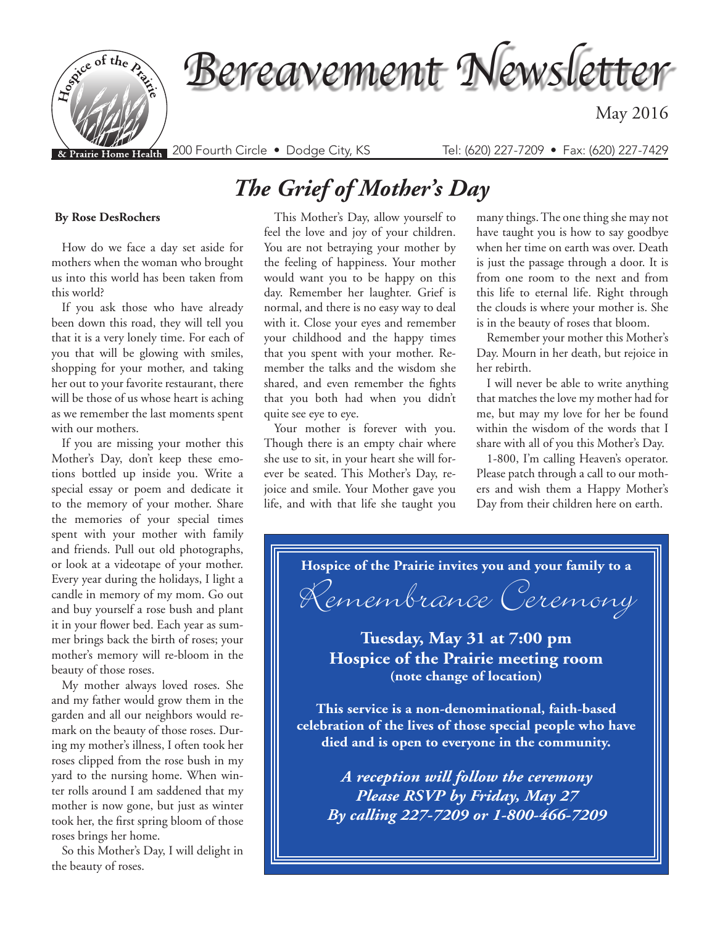

# *The Grief of Mother's Day*

#### **By Rose DesRochers**

How do we face a day set aside for mothers when the woman who brought us into this world has been taken from this world?

If you ask those who have already been down this road, they will tell you that it is a very lonely time. For each of you that will be glowing with smiles, shopping for your mother, and taking her out to your favorite restaurant, there will be those of us whose heart is aching as we remember the last moments spent with our mothers.

If you are missing your mother this Mother's Day, don't keep these emotions bottled up inside you. Write a special essay or poem and dedicate it to the memory of your mother. Share the memories of your special times spent with your mother with family and friends. Pull out old photographs, or look at a videotape of your mother. Every year during the holidays, I light a candle in memory of my mom. Go out and buy yourself a rose bush and plant it in your flower bed. Each year as summer brings back the birth of roses; your mother's memory will re-bloom in the beauty of those roses.

My mother always loved roses. She and my father would grow them in the garden and all our neighbors would remark on the beauty of those roses. During my mother's illness, I often took her roses clipped from the rose bush in my yard to the nursing home. When winter rolls around I am saddened that my mother is now gone, but just as winter took her, the first spring bloom of those roses brings her home.

So this Mother's Day, I will delight in the beauty of roses.

This Mother's Day, allow yourself to feel the love and joy of your children. You are not betraying your mother by the feeling of happiness. Your mother would want you to be happy on this day. Remember her laughter. Grief is normal, and there is no easy way to deal with it. Close your eyes and remember your childhood and the happy times that you spent with your mother. Remember the talks and the wisdom she shared, and even remember the fights that you both had when you didn't quite see eye to eye.

Your mother is forever with you. Though there is an empty chair where she use to sit, in your heart she will forever be seated. This Mother's Day, rejoice and smile. Your Mother gave you life, and with that life she taught you many things. The one thing she may not have taught you is how to say goodbye when her time on earth was over. Death is just the passage through a door. It is from one room to the next and from this life to eternal life. Right through the clouds is where your mother is. She is in the beauty of roses that bloom.

Remember your mother this Mother's Day. Mourn in her death, but rejoice in her rebirth.

I will never be able to write anything that matches the love my mother had for me, but may my love for her be found within the wisdom of the words that I share with all of you this Mother's Day.

1-800, I'm calling Heaven's operator. Please patch through a call to our mothers and wish them a Happy Mother's Day from their children here on earth.

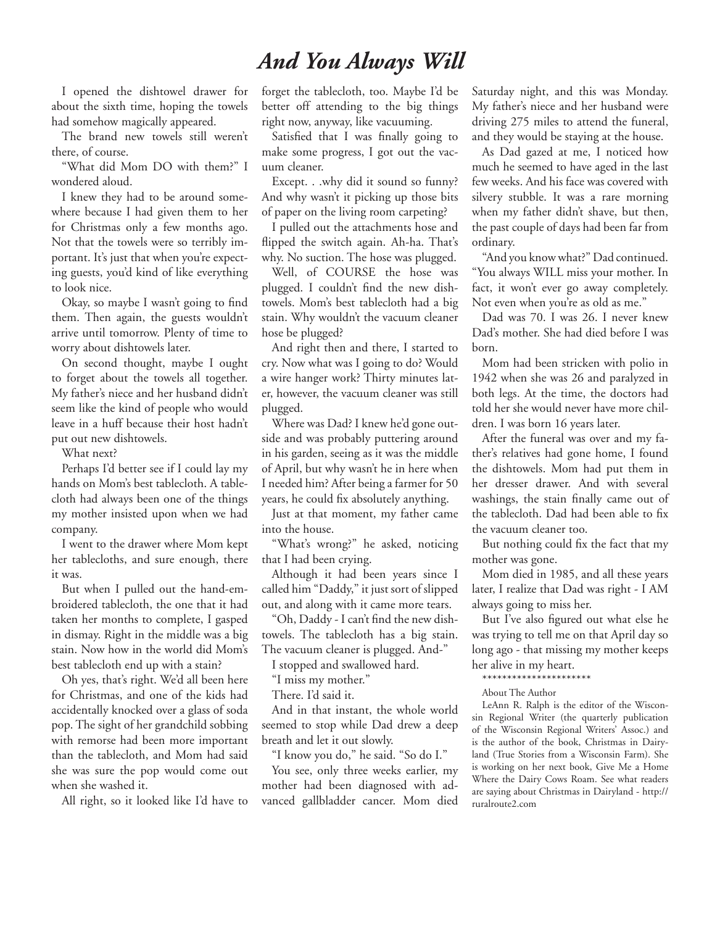### *And You Always Will*

I opened the dishtowel drawer for about the sixth time, hoping the towels had somehow magically appeared.

The brand new towels still weren't there, of course.

"What did Mom DO with them?" I wondered aloud.

I knew they had to be around somewhere because I had given them to her for Christmas only a few months ago. Not that the towels were so terribly important. It's just that when you're expecting guests, you'd kind of like everything to look nice.

Okay, so maybe I wasn't going to find them. Then again, the guests wouldn't arrive until tomorrow. Plenty of time to worry about dishtowels later.

On second thought, maybe I ought to forget about the towels all together. My father's niece and her husband didn't seem like the kind of people who would leave in a huff because their host hadn't put out new dishtowels.

What next?

Perhaps I'd better see if I could lay my hands on Mom's best tablecloth. A tablecloth had always been one of the things my mother insisted upon when we had company.

I went to the drawer where Mom kept her tablecloths, and sure enough, there it was.

But when I pulled out the hand-embroidered tablecloth, the one that it had taken her months to complete, I gasped in dismay. Right in the middle was a big stain. Now how in the world did Mom's best tablecloth end up with a stain?

Oh yes, that's right. We'd all been here for Christmas, and one of the kids had accidentally knocked over a glass of soda pop. The sight of her grandchild sobbing with remorse had been more important than the tablecloth, and Mom had said she was sure the pop would come out when she washed it.

All right, so it looked like I'd have to

forget the tablecloth, too. Maybe I'd be better off attending to the big things right now, anyway, like vacuuming.

Satisfied that I was finally going to make some progress, I got out the vacuum cleaner.

Except. . .why did it sound so funny? And why wasn't it picking up those bits of paper on the living room carpeting?

I pulled out the attachments hose and flipped the switch again. Ah-ha. That's why. No suction. The hose was plugged.

Well, of COURSE the hose was plugged. I couldn't find the new dishtowels. Mom's best tablecloth had a big stain. Why wouldn't the vacuum cleaner hose be plugged?

And right then and there, I started to cry. Now what was I going to do? Would a wire hanger work? Thirty minutes later, however, the vacuum cleaner was still plugged.

Where was Dad? I knew he'd gone outside and was probably puttering around in his garden, seeing as it was the middle of April, but why wasn't he in here when I needed him? After being a farmer for 50 years, he could fix absolutely anything.

Just at that moment, my father came into the house.

"What's wrong?" he asked, noticing that I had been crying.

Although it had been years since I called him "Daddy," it just sort of slipped out, and along with it came more tears.

"Oh, Daddy - I can't find the new dishtowels. The tablecloth has a big stain. The vacuum cleaner is plugged. And-"

I stopped and swallowed hard.

"I miss my mother."

There. I'd said it.

And in that instant, the whole world seemed to stop while Dad drew a deep breath and let it out slowly.

"I know you do," he said. "So do I."

You see, only three weeks earlier, my mother had been diagnosed with advanced gallbladder cancer. Mom died

Saturday night, and this was Monday. My father's niece and her husband were driving 275 miles to attend the funeral, and they would be staying at the house.

As Dad gazed at me, I noticed how much he seemed to have aged in the last few weeks. And his face was covered with silvery stubble. It was a rare morning when my father didn't shave, but then, the past couple of days had been far from ordinary.

"And you know what?" Dad continued. "You always WILL miss your mother. In fact, it won't ever go away completely. Not even when you're as old as me."

Dad was 70. I was 26. I never knew Dad's mother. She had died before I was born.

Mom had been stricken with polio in 1942 when she was 26 and paralyzed in both legs. At the time, the doctors had told her she would never have more children. I was born 16 years later.

After the funeral was over and my father's relatives had gone home, I found the dishtowels. Mom had put them in her dresser drawer. And with several washings, the stain finally came out of the tablecloth. Dad had been able to fix the vacuum cleaner too.

But nothing could fix the fact that my mother was gone.

Mom died in 1985, and all these years later, I realize that Dad was right - I AM always going to miss her.

But I've also figured out what else he was trying to tell me on that April day so long ago - that missing my mother keeps her alive in my heart.

\*\*\*\*\*\*\*\*\*\*\*\*\*\*\*\*\*\*\*\*\*\*

About The Author

LeAnn R. Ralph is the editor of the Wisconsin Regional Writer (the quarterly publication of the Wisconsin Regional Writers' Assoc.) and is the author of the book, Christmas in Dairyland (True Stories from a Wisconsin Farm). She is working on her next book, Give Me a Home Where the Dairy Cows Roam. See what readers are saying about Christmas in Dairyland - http:// ruralroute2.com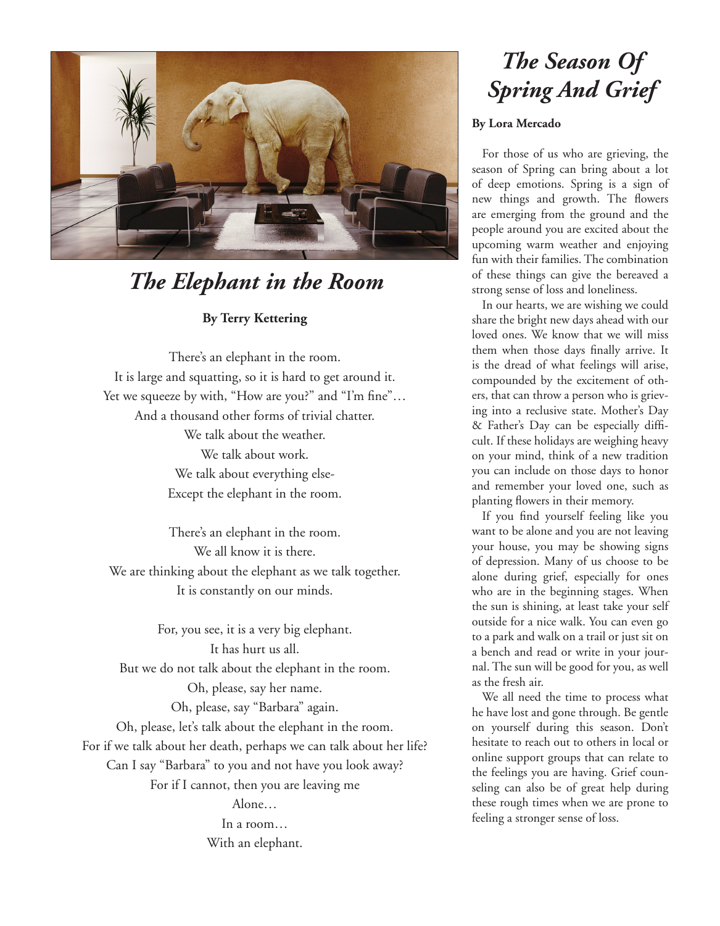

### *The Elephant in the Room*

### **By Terry Kettering**

There's an elephant in the room. It is large and squatting, so it is hard to get around it. Yet we squeeze by with, "How are you?" and "I'm fine"... And a thousand other forms of trivial chatter. We talk about the weather. We talk about work. We talk about everything else-Except the elephant in the room.

There's an elephant in the room. We all know it is there. We are thinking about the elephant as we talk together. It is constantly on our minds.

For, you see, it is a very big elephant. It has hurt us all. But we do not talk about the elephant in the room. Oh, please, say her name.

Oh, please, say "Barbara" again. Oh, please, let's talk about the elephant in the room. For if we talk about her death, perhaps we can talk about her life? Can I say "Barbara" to you and not have you look away? For if I cannot, then you are leaving me

> Alone… In a room… With an elephant.

# *The Season Of Spring And Grief*

### **By Lora Mercado**

For those of us who are grieving, the season of Spring can bring about a lot of deep emotions. Spring is a sign of new things and growth. The flowers are emerging from the ground and the people around you are excited about the upcoming warm weather and enjoying fun with their families. The combination of these things can give the bereaved a strong sense of loss and loneliness.

In our hearts, we are wishing we could share the bright new days ahead with our loved ones. We know that we will miss them when those days finally arrive. It is the dread of what feelings will arise, compounded by the excitement of others, that can throw a person who is grieving into a reclusive state. Mother's Day & Father's Day can be especially difficult. If these holidays are weighing heavy on your mind, think of a new tradition you can include on those days to honor and remember your loved one, such as planting flowers in their memory.

If you find yourself feeling like you want to be alone and you are not leaving your house, you may be showing signs of depression. Many of us choose to be alone during grief, especially for ones who are in the beginning stages. When the sun is shining, at least take your self outside for a nice walk. You can even go to a park and walk on a trail or just sit on a bench and read or write in your journal. The sun will be good for you, as well as the fresh air.

We all need the time to process what he have lost and gone through. Be gentle on yourself during this season. Don't hesitate to reach out to others in local or online support groups that can relate to the feelings you are having. Grief counseling can also be of great help during these rough times when we are prone to feeling a stronger sense of loss.